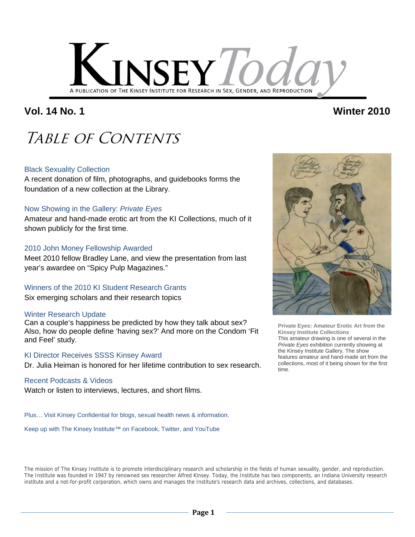

## **Vol. 14 No. 1 Winter 2010**

## Table of Contents

### Black Sexuality Collection

A recent donation of film, photographs, and guidebooks forms the foundation of a new collection at the Library.

### Now Showing in the Gallery: *Private Eyes*

Amateur and hand-made erotic art from the KI Collections, much of it shown publicly for the first time.

### 2010 John Money Fellowship Awarded

Meet 2010 fellow Bradley Lane, and view the presentation from last year's awardee on "Spicy Pulp Magazines."

Winners of the 2010 KI Student Research Grants Six emerging scholars and their research topics

### Winter Research Update

Can a couple's happiness be predicted by how they talk about sex? Also, how do people define 'having sex?' And more on the Condom 'Fit and Feel' study.

### KI Director Receives SSSS Kinsey Award

Dr. Julia Heiman is honored for her lifetime contribution to sex research.

### Recent Podcasts & Videos

Watch or listen to interviews, lectures, and short films.

Plus… Visit Kinsey Confidential for blogs, sexual health news & information.

Keep up with The Kinsey Institute™ on Facebook, Twitter, and YouTube



**Private Eyes: Amateur Erotic Art from the Kinsey Institute Collections** This amateur drawing is one of several in the *Private Eyes* exhibition currently showing at the Kinsey Institute Gallery. The show features amateur and hand-made art from the collections, most of it being shown for the first time.

The mission of The Kinsey Institute is to promote interdisciplinary research and scholarship in the fields of human sexuality, gender, and reproduction. The Institute was founded in 1947 by renowned sex researcher Alfred Kinsey. Today, the Institute has two components, an Indiana University research institute and a not-for-profit corporation, which owns and manages the Institute's research data and archives, collections, and databases.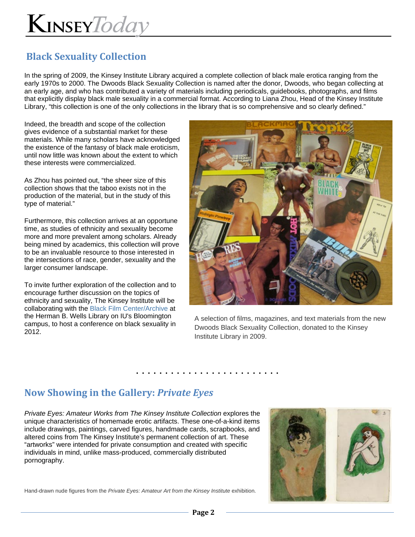## **Black Sexuality Collection**

In the spring of 2009, the Kinsey Institute Library acquired a complete collection of black male erotica ranging from the early 1970s to 2000. The Dwoods Black Sexuality Collection is named after the donor, Dwoods, who began collecting at an early age, and who has contributed a variety of materials including periodicals, guidebooks, photographs, and films that explicitly display black male sexuality in a commercial format. According to Liana Zhou, Head of the Kinsey Institute Library, "this collection is one of the only collections in the library that is so comprehensive and so clearly defined."

Indeed, the breadth and scope of the collection gives evidence of a substantial market for these materials. While many scholars have acknowledged the existence of the fantasy of black male eroticism, until now little was known about the extent to which these interests were commercialized.

As Zhou has pointed out, "the sheer size of this collection shows that the taboo exists not in the production of the material, but in the study of this type of material."

Furthermore, this collection arrives at an opportune time, as studies of ethnicity and sexuality become more and more prevalent among scholars. Already being mined by academics, this collection will prove to be an invaluable resource to those interested in the intersections of race, gender, sexuality and the larger consumer landscape.

To invite further exploration of the collection and to encourage further discussion on the topics of ethnicity and sexuality, The Kinsey Institute will be collaborating with the Black Film Center/Archive at the Herman B. Wells Library on IU's Bloomington campus, to host a conference on black sexuality in 2012.



A selection of films, magazines, and text materials from the new Dwoods Black Sexuality Collection, donated to the Kinsey Institute Library in 2009.

## **Now Showing in the Gallery:** *Private Eyes*

*Private Eyes: Amateur Works from The Kinsey Institute Collection* explores the unique characteristics of homemade erotic artifacts. These one-of-a-kind items include drawings, paintings, carved figures, handmade cards, scrapbooks, and altered coins from The Kinsey Institute's permanent collection of art. These "artworks" were intended for private consumption and created with specific individuals in mind, unlike mass-produced, commercially distributed pornography.



Hand-drawn nude figures from the *Private Eyes: Amateur Art from the Kinsey Institute* exhibition.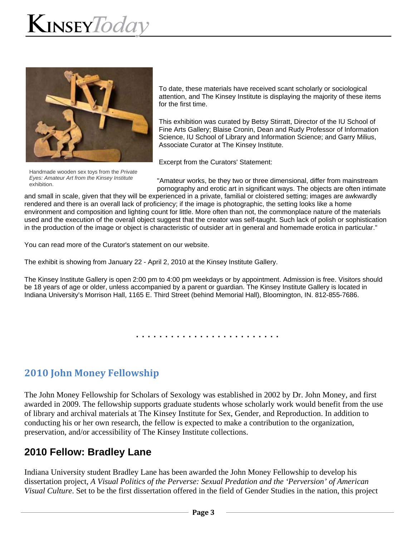

To date, these materials have received scant scholarly or sociological attention, and The Kinsey Institute is displaying the majority of these items for the first time.

This exhibition was curated by Betsy Stirratt, Director of the IU School of Fine Arts Gallery; Blaise Cronin, Dean and Rudy Professor of Information Science, IU School of Library and Information Science; and Garry Milius, Associate Curator at The Kinsey Institute.

Excerpt from the Curators' Statement:

Handmade wooden sex toys from the *Private Eyes: Amateur Art from the Kinsey Institute* exhibition.

"Amateur works, be they two or three dimensional, differ from mainstream pornography and erotic art in significant ways. The objects are often intimate

and small in scale, given that they will be experienced in a private, familial or cloistered setting; images are awkwardly rendered and there is an overall lack of proficiency; if the image is photographic, the setting looks like a home environment and composition and lighting count for little. More often than not, the commonplace nature of the materials used and the execution of the overall object suggest that the creator was self-taught. Such lack of polish or sophistication in the production of the image or object is characteristic of outsider art in general and homemade erotica in particular."

You can read more of the Curator's statement on our website.

The exhibit is showing from January 22 - April 2, 2010 at the Kinsey Institute Gallery.

The Kinsey Institute Gallery is open 2:00 pm to 4:00 pm weekdays or by appointment. Admission is free. Visitors should be 18 years of age or older, unless accompanied by a parent or guardian. The Kinsey Institute Gallery is located in Indiana University's Morrison Hall, 1165 E. Third Street (behind Memorial Hall), Bloomington, IN. 812-855-7686.

. . . . . . . . . . . . . . . . . . . . . . . . .

## **2010 John Money Fellowship**

The John Money Fellowship for Scholars of Sexology was established in 2002 by Dr. John Money, and first awarded in 2009. The fellowship supports graduate students whose scholarly work would benefit from the use of library and archival materials at The Kinsey Institute for Sex, Gender, and Reproduction. In addition to conducting his or her own research, the fellow is expected to make a contribution to the organization, preservation, and/or accessibility of The Kinsey Institute collections.

## **2010 Fellow: Bradley Lane**

Indiana University student Bradley Lane has been awarded the John Money Fellowship to develop his dissertation project, *A Visual Politics of the Perverse: Sexual Predation and the 'Perversion' of American Visual Culture*. Set to be the first dissertation offered in the field of Gender Studies in the nation, this project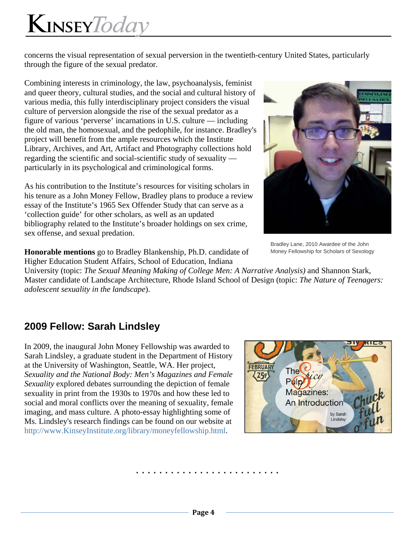# KINSEYToday

concerns the visual representation of sexual perversion in the twentieth-century United States, particularly through the figure of the sexual predator.

Combining interests in criminology, the law, psychoanalysis, feminist and queer theory, cultural studies, and the social and cultural history of various media, this fully interdisciplinary project considers the visual culture of perversion alongside the rise of the sexual predator as a figure of various 'perverse' incarnations in U.S. culture — including the old man, the homosexual, and the pedophile, for instance. Bradley's project will benefit from the ample resources which the Institute Library, Archives, and Art, Artifact and Photography collections hold regarding the scientific and social-scientific study of sexuality particularly in its psychological and criminological forms.

As his contribution to the Institute's resources for visiting scholars in his tenure as a John Money Fellow, Bradley plans to produce a review essay of the Institute's 1965 Sex Offender Study that can serve as a 'collection guide' for other scholars, as well as an updated bibliography related to the Institute's broader holdings on sex crime, sex offense, and sexual predation.



Bradley Lane, 2010 Awardee of the John Money Fellowship for Scholars of Sexology

**Honorable mentions** go to Bradley Blankenship, Ph.D. candidate of Higher Education Student Affairs, School of Education, Indiana

University (topic: *The Sexual Meaning Making of College Men: A Narrative Analysis)* and Shannon Stark, Master candidate of Landscape Architecture, Rhode Island School of Design (topic: *The Nature of Teenagers: adolescent sexuality in the landscape*).

## **2009 Fellow: Sarah Lindsley**

In 2009, the inaugural John Money Fellowship was awarded to Sarah Lindsley, a graduate student in the Department of History at the University of Washington, Seattle, WA. Her project, *Sexuality and the National Body: Men's Magazines and Female Sexuality* explored debates surrounding the depiction of female sexuality in print from the 1930s to 1970s and how these led to social and moral conflicts over the meaning of sexuality, female imaging, and mass culture. A photo-essay highlighting some of Ms. Lindsley's research findings can be found on our website at http://www.KinseyInstitute.org/library/moneyfellowship.html.

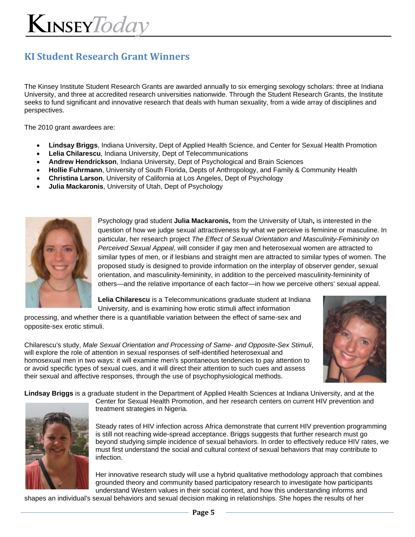## **KI Student Research Grant Winners**

The Kinsey Institute Student Research Grants are awarded annually to six emerging sexology scholars: three at Indiana University, and three at accredited research universities nationwide. Through the Student Research Grants, the Institute seeks to fund significant and innovative research that deals with human sexuality, from a wide array of disciplines and perspectives.

The 2010 grant awardees are:

- **Lindsay Briggs**, Indiana University, Dept of Applied Health Science, and Center for Sexual Health Promotion
- **Lelia Chilarescu**, Indiana University, Dept of Telecommunications
- **Andrew Hendrickson**, Indiana University, Dept of Psychological and Brain Sciences
- **Hollie Fuhrmann**, University of South Florida, Depts of Anthropology, and Family & Community Health
- **Christina Larson**, University of California at Los Angeles, Dept of Psychology
- **Julia Mackaronis**, University of Utah, Dept of Psychology



Psychology grad student **Julia Mackaronis,** from the University of Utah**,** is interested in the question of how we judge sexual attractiveness by what we perceive is feminine or masculine. In particular, her research project *The Effect of Sexual Orientation and Masculinity-Femininity on Perceived Sexual Appeal*, will consider if gay men and heterosexual women are attracted to similar types of men, or if lesbians and straight men are attracted to similar types of women. The proposed study is designed to provide information on the interplay of observer gender, sexual orientation, and masculinity-femininity, in addition to the perceived masculinity-femininity of others—and the relative importance of each factor—in how we perceive others' sexual appeal.

**Lelia Chilarescu** is a Telecommunications graduate student at Indiana University, and is examining how erotic stimuli affect information

processing, and whether there is a quantifiable variation between the effect of same-sex and opposite-sex erotic stimuli.

Chilarescu's study, *Male Sexual Orientation and Processing of Same- and Opposite-Sex Stimuli*, will explore the role of attention in sexual responses of self-identified heterosexual and homosexual men in two ways: it will examine men's spontaneous tendencies to pay attention to or avoid specific types of sexual cues, and it will direct their attention to such cues and assess their sexual and affective responses, through the use of psychophysiological methods.

**Lindsay Briggs** is a graduate student in the Department of Applied Health Sciences at Indiana University, and at the



Center for Sexual Health Promotion, and her research centers on current HIV prevention and treatment strategies in Nigeria.

Steady rates of HIV infection across Africa demonstrate that current HIV prevention programming is still not reaching wide-spread acceptance. Briggs suggests that further research must go beyond studying simple incidence of sexual behaviors. In order to effectively reduce HIV rates, we must first understand the social and cultural context of sexual behaviors that may contribute to infection.

Her innovative research study will use a hybrid qualitative methodology approach that combines grounded theory and community based participatory research to investigate how participants understand Western values in their social context, and how this understanding informs and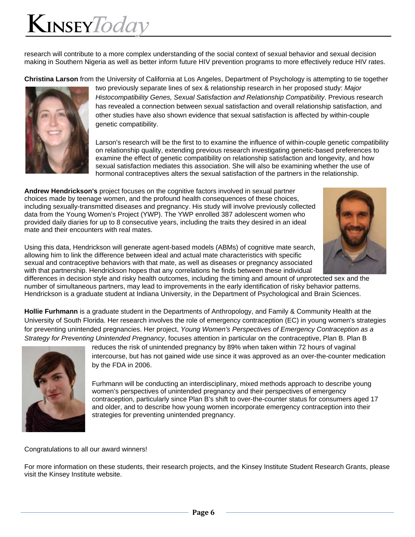## $K$ INSEY $\mathit{Today}$

research will contribute to a more complex understanding of the social context of sexual behavior and sexual decision making in Southern Nigeria as well as better inform future HIV prevention programs to more effectively reduce HIV rates.

**Christina Larson** from the University of California at Los Angeles, Department of Psychology is attempting to tie together



two previously separate lines of sex & relationship research in her proposed study: *Major Histocompatibility Genes, Sexual Satisfaction and Relationship Compatibility*. Previous research has revealed a connection between sexual satisfaction and overall relationship satisfaction, and other studies have also shown evidence that sexual satisfaction is affected by within-couple genetic compatibility.

Larson's research will be the first to to examine the influence of within-couple genetic compatibility on relationship quality, extending previous research investigating genetic-based preferences to examine the effect of genetic compatibility on relationship satisfaction and longevity, and how sexual satisfaction mediates this association. She will also be examining whether the use of hormonal contraceptives alters the sexual satisfaction of the partners in the relationship.

**Andrew Hendrickson's** project focuses on the cognitive factors involved in sexual partner choices made by teenage women, and the profound health consequences of these choices, including sexually-transmitted diseases and pregnancy. His study will involve previously collected data from the Young Women's Project (YWP). The YWP enrolled 387 adolescent women who provided daily diaries for up to 8 consecutive years, including the traits they desired in an ideal mate and their encounters with real mates.



Using this data, Hendrickson will generate agent-based models (ABMs) of cognitive mate search, allowing him to link the difference between ideal and actual mate characteristics with specific sexual and contraceptive behaviors with that mate, as well as diseases or pregnancy associated with that partnership. Hendrickson hopes that any correlations he finds between these individual

differences in decision style and risky health outcomes, including the timing and amount of unprotected sex and the number of simultaneous partners, may lead to improvements in the early identification of risky behavior patterns. Hendrickson is a graduate student at Indiana University, in the Department of Psychological and Brain Sciences.

**Hollie Furhmann** is a graduate student in the Departments of Anthropology, and Family & Community Health at the University of South Florida. Her research involves the role of emergency contraception (EC) in young women's strategies for preventing unintended pregnancies. Her project, *Young Women's Perspectives of Emergency Contraception as a Strategy for Preventing Unintended Pregnancy*, focuses attention in particular on the contraceptive, Plan B. Plan B



reduces the risk of unintended pregnancy by 89% when taken within 72 hours of vaginal intercourse, but has not gained wide use since it was approved as an over-the-counter medication by the FDA in 2006.

Furhmann will be conducting an interdisciplinary, mixed methods approach to describe young women's perspectives of unintended pregnancy and their perspectives of emergency contraception, particularly since Plan B's shift to over-the-counter status for consumers aged 17 and older, and to describe how young women incorporate emergency contraception into their strategies for preventing unintended pregnancy.

### Congratulations to all our award winners!

For more information on these students, their research projects, and the Kinsey Institute Student Research Grants, please visit the Kinsey Institute website.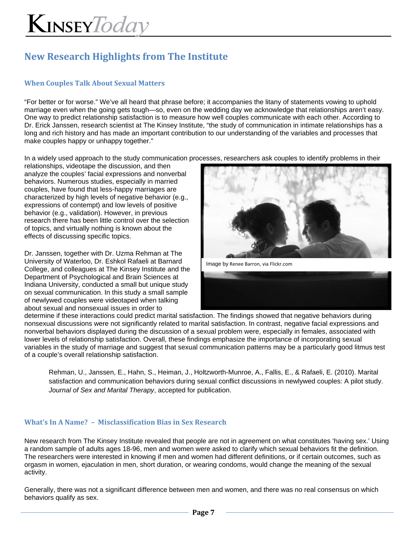# KINSEYToday

## **New Research Highlights from The Institute**

### **When Couples Talk About Sexual Matters**

"For better or for worse." We've all heard that phrase before; it accompanies the litany of statements vowing to uphold marriage even when the going gets tough—so, even on the wedding day we acknowledge that relationships aren't easy. One way to predict relationship satisfaction is to measure how well couples communicate with each other. According to Dr. Erick Janssen, research scientist at The Kinsey Institute, "the study of communication in intimate relationships has a long and rich history and has made an important contribution to our understanding of the variables and processes that make couples happy or unhappy together."

In a widely used approach to the study communication processes, researchers ask couples to identify problems in their

relationships, videotape the discussion, and then analyze the couples' facial expressions and nonverbal behaviors. Numerous studies, especially in married couples, have found that less-happy marriages are characterized by high levels of negative behavior (e.g., expressions of contempt) and low levels of positive behavior (e.g., validation). However, in previous research there has been little control over the selection of topics, and virtually nothing is known about the effects of discussing specific topics.

Dr. Janssen, together with Dr. Uzma Rehman at The University of Waterloo, Dr. Eshkol Rafaeli at Barnard College, and colleagues at The Kinsey Institute and the Department of Psychological and Brain Sciences at Indiana University, conducted a small but unique study on sexual communication. In this study a small sample of newlywed couples were videotaped when talking about sexual and nonsexual issues in order to



Image by Renee Barron, via Flickr.com



determine if these interactions could predict marital satisfaction. The findings showed that negative behaviors during nonsexual discussions were not significantly related to marital satisfaction. In contrast, negative facial expressions and nonverbal behaviors displayed during the discussion of a sexual problem were, especially in females, associated with lower levels of relationship satisfaction. Overall, these findings emphasize the importance of incorporating sexual variables in the study of marriage and suggest that sexual communication patterns may be a particularly good litmus test of a couple's overall relationship satisfaction.

Rehman, U., Janssen, E., Hahn, S., Heiman, J., Holtzworth-Munroe, A., Fallis, E., & Rafaeli, E. (2010). Marital satisfaction and communication behaviors during sexual conflict discussions in newlywed couples: A pilot study. *Journal of Sex and Marital Therapy*, accepted for publication.

### **What's In A Name? – Misclassification Bias in Sex Research**

New research from The Kinsey Institute revealed that people are not in agreement on what constitutes 'having sex.' Using a random sample of adults ages 18-96, men and women were asked to clarify which sexual behaviors fit the definition. The researchers were interested in knowing if men and women had different definitions, or if certain outcomes, such as orgasm in women, ejaculation in men, short duration, or wearing condoms, would change the meaning of the sexual activity.

Generally, there was not a significant difference between men and women, and there was no real consensus on which behaviors qualify as sex.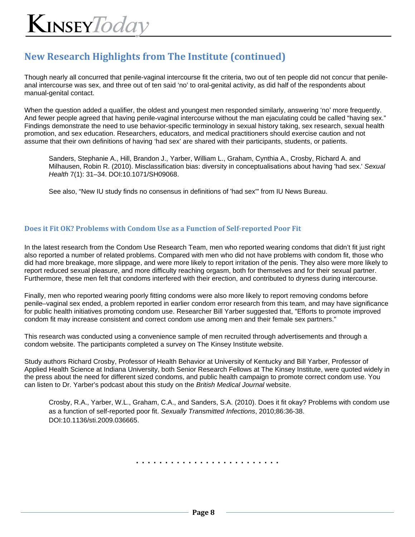## **New Research Highlights from The Institute (continued)**

Though nearly all concurred that penile-vaginal intercourse fit the criteria, two out of ten people did not concur that penileanal intercourse was sex, and three out of ten said 'no' to oral-genital activity, as did half of the respondents about manual-genital contact.

When the question added a qualifier, the oldest and youngest men responded similarly, answering 'no' more frequently. And fewer people agreed that having penile-vaginal intercourse without the man ejaculating could be called "having sex." Findings demonstrate the need to use behavior-specific terminology in sexual history taking, sex research, sexual health promotion, and sex education. Researchers, educators, and medical practitioners should exercise caution and not assume that their own definitions of having 'had sex' are shared with their participants, students, or patients.

Sanders, Stephanie A., Hill, Brandon J., Yarber, William L., Graham, Cynthia A., Crosby, Richard A. and Milhausen, Robin R. (2010). Misclassification bias: diversity in conceptualisations about having 'had sex.' *Sexual Health* 7(1): 31–34. DOI:10.1071/SH09068.

See also, "New IU study finds no consensus in definitions of 'had sex'" from IU News Bureau.

### **Does it Fit OK? Problems with Condom Use as a Function of Self‐reported Poor Fit**

In the latest research from the Condom Use Research Team, men who reported wearing condoms that didn't fit just right also reported a number of related problems. Compared with men who did not have problems with condom fit, those who did had more breakage, more slippage, and were more likely to report irritation of the penis. They also were more likely to report reduced sexual pleasure, and more difficulty reaching orgasm, both for themselves and for their sexual partner. Furthermore, these men felt that condoms interfered with their erection, and contributed to dryness during intercourse.

Finally, men who reported wearing poorly fitting condoms were also more likely to report removing condoms before penile–vaginal sex ended, a problem reported in earlier condom error research from this team, and may have significance for public health initiatives promoting condom use. Researcher Bill Yarber suggested that, "Efforts to promote improved condom fit may increase consistent and correct condom use among men and their female sex partners."

This research was conducted using a convenience sample of men recruited through advertisements and through a condom website. The participants completed a survey on The Kinsey Institute website.

Study authors Richard Crosby, Professor of Health Behavior at University of Kentucky and Bill Yarber, Professor of Applied Health Science at Indiana University, both Senior Research Fellows at The Kinsey Institute, were quoted widely in the press about the need for different sized condoms, and public health campaign to promote correct condom use. You can listen to Dr. Yarber's podcast about this study on the *British Medical Journal* website.

Crosby, R.A., Yarber, W.L., Graham, C.A., and Sanders, S.A. (2010). Does it fit okay? Problems with condom use as a function of self-reported poor fit. *Sexually Transmitted Infections*, 2010;86:36-38. DOI:10.1136/sti.2009.036665.

**Page 8**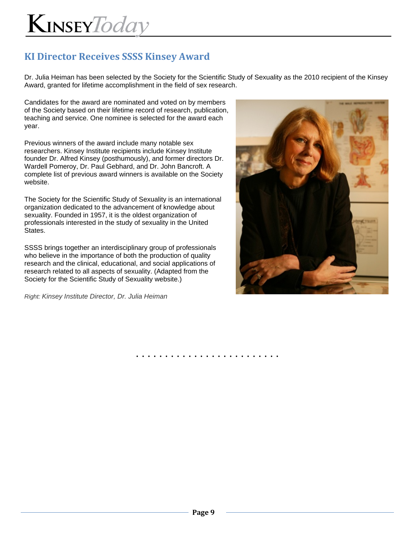## **KI Director Receives SSSS Kinsey Award**

Dr. Julia Heiman has been selected by the Society for the Scientific Study of Sexuality as the 2010 recipient of the Kinsey Award, granted for lifetime accomplishment in the field of sex research.

Candidates for the award are nominated and voted on by members of the Society based on their lifetime record of research, publication, teaching and service. One nominee is selected for the award each year.

Previous winners of the award include many notable sex researchers. Kinsey Institute recipients include Kinsey Institute founder Dr. Alfred Kinsey (posthumously), and former directors Dr. Wardell Pomeroy, Dr. Paul Gebhard, and Dr. John Bancroft. A complete list of previous award winners is available on the Society website.

The Society for the Scientific Study of Sexuality is an international organization dedicated to the advancement of knowledge about sexuality. Founded in 1957, it is the oldest organization of professionals interested in the study of sexuality in the United States.

SSSS brings together an interdisciplinary group of professionals who believe in the importance of both the production of quality research and the clinical, educational, and social applications of research related to all aspects of sexuality. (Adapted from the Society for the Scientific Study of Sexuality website.)

*Right: Kinsey Institute Director, Dr. Julia Heiman*

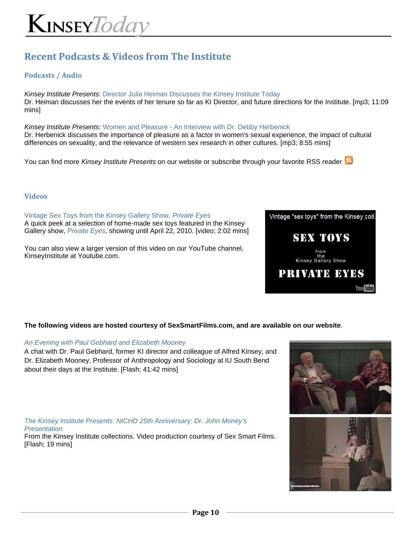## **Recent Podcasts & Videos from The Institute**

### **Podcasts / Audio**

*Kinsey Institute Presents*: Director Julia Heiman Discusses the Kinsey Institute Today Dr. Heiman discusses her the events of her tenure so far as KI Director, and future directions for the Institute. [mp3; 11:09 mins]

*Kinsey Institute Presents*: Women and Pleasure - An Interview with Dr. Debby Herbenick Dr. Herbenick discusses the importance of pleasure as a factor in women's sexual experience, the impact of cultural differences on sexuality, and the relevance of western sex research in other cultures. [mp3; 8:55 mins]

You can find more *Kinsey Institute Presents* on our website or subscribe through your favorite RSS reader **N** 

#### **Videos**

Vintage Sex Toys from the Kinsey Gallery Show, *Private Eyes* A quick peek at a selection of home-made sex toys featured in the Kinsey Gallery show, *Private Eyes*, showing until April 22, 2010. [video; 2:02 mins]

You can also view a larger version of this video on our YouTube channel, KinseyInstitute at Youtube.com.

### **The following videos are hosted courtesy of SexSmartFilms.com, and are available on our website**.

#### *An Evening with Paul Gebhard and Elizabeth Mooney*

A chat with Dr. Paul Gebhard, former KI director and colleague of Alfred Kinsey, and Dr. Elizabeth Mooney, Professor of Anthropology and Sociology at IU South Bend about their days at the Institute. [Flash; 41:42 mins]

*The Kinsey Institute Presents: NICHD 25th Anniversary: Dr. John Money's Presentation*

From the Kinsey Institute collections. Video production courtesy of Sex Smart Films. [Flash; 19 mins]